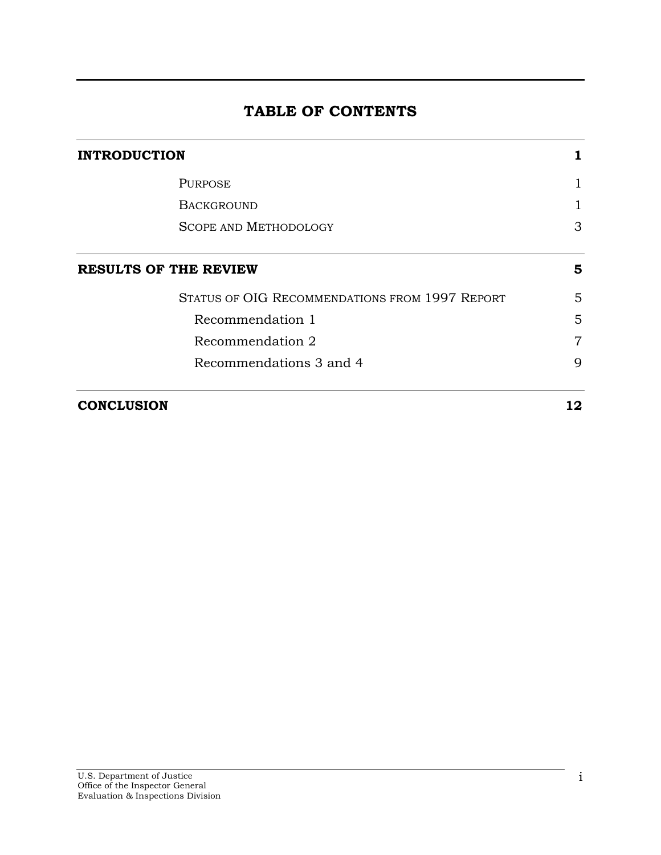# **TABLE OF CONTENTS**

| <b>INTRODUCTION</b> |                                                |                |
|---------------------|------------------------------------------------|----------------|
|                     | <b>PURPOSE</b>                                 |                |
|                     | <b>BACKGROUND</b>                              |                |
|                     | <b>SCOPE AND METHODOLOGY</b>                   | 3              |
|                     | <b>RESULTS OF THE REVIEW</b>                   | 5              |
|                     | STATUS OF OIG RECOMMENDATIONS FROM 1997 REPORT | 5              |
|                     | Recommendation 1                               | 5              |
|                     | Recommendation 2                               | $\overline{7}$ |
|                     | Recommendations 3 and 4                        | 9              |
| <b>CONCLUSION</b>   |                                                | 12             |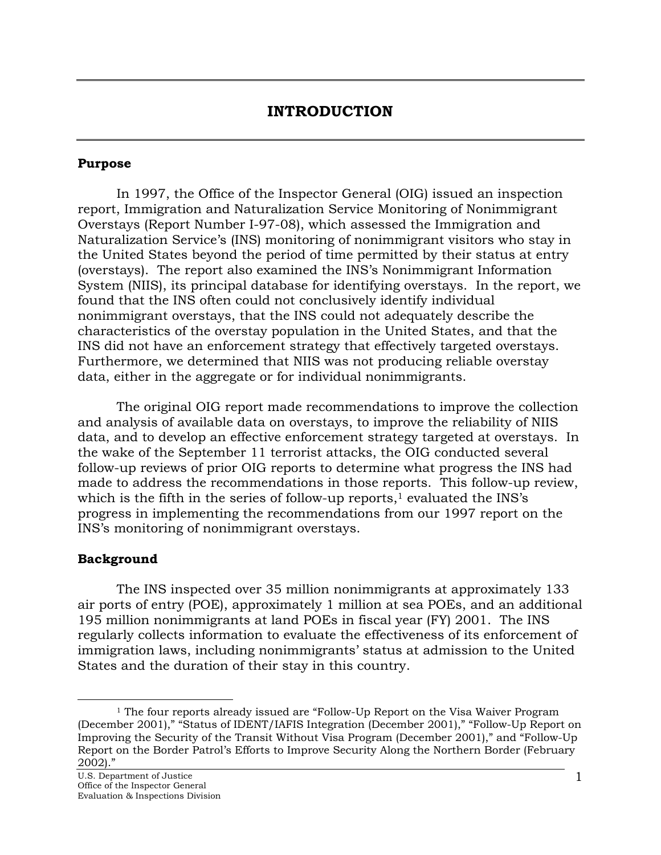### **INTRODUCTION**

#### <span id="page-1-0"></span>**Purpose**

In 1997, the Office of the Inspector General (OIG) issued an inspection report, Immigration and Naturalization Service Monitoring of Nonimmigrant Overstays (Report Number I-97-08), which assessed the Immigration and Naturalization Service's (INS) monitoring of nonimmigrant visitors who stay in the United States beyond the period of time permitted by their status at entry (overstays). The report also examined the INS's Nonimmigrant Information System (NIIS), its principal database for identifying overstays. In the report, we found that the INS often could not conclusively identify individual nonimmigrant overstays, that the INS could not adequately describe the characteristics of the overstay population in the United States, and that the INS did not have an enforcement strategy that effectively targeted overstays. Furthermore, we determined that NIIS was not producing reliable overstay data, either in the aggregate or for individual nonimmigrants.

The original OIG report made recommendations to improve the collection and analysis of available data on overstays, to improve the reliability of NIIS data, and to develop an effective enforcement strategy targeted at overstays. In the wake of the September 11 terrorist attacks, the OIG conducted several follow-up reviews of prior OIG reports to determine what progress the INS had made to address the recommendations in those reports. This follow-up review, which is the fifth in the series of follow-up reports, $1$  evaluated the INS's progress in implementing the recommendations from our 1997 report on the INS's monitoring of nonimmigrant overstays.

#### **Background**

<span id="page-1-1"></span> $\overline{a}$ 

The INS inspected over 35 million nonimmigrants at approximately 133 air ports of entry (POE), approximately 1 million at sea POEs, and an additional 195 million nonimmigrants at land POEs in fiscal year (FY) 2001. The INS regularly collects information to evaluate the effectiveness of its enforcement of immigration laws, including nonimmigrants' status at admission to the United States and the duration of their stay in this country.

<sup>&</sup>lt;sup>1</sup> The four reports already issued are "Follow-Up Report on the Visa Waiver Program (December 2001)," "Status of IDENT/IAFIS Integration (December 2001)," "Follow-Up Report on Improving the Security of the Transit Without Visa Program (December 2001)," and "Follow-Up Report on the Border Patrol's Efforts to Improve Security Along the Northern Border (February  $2002$ )."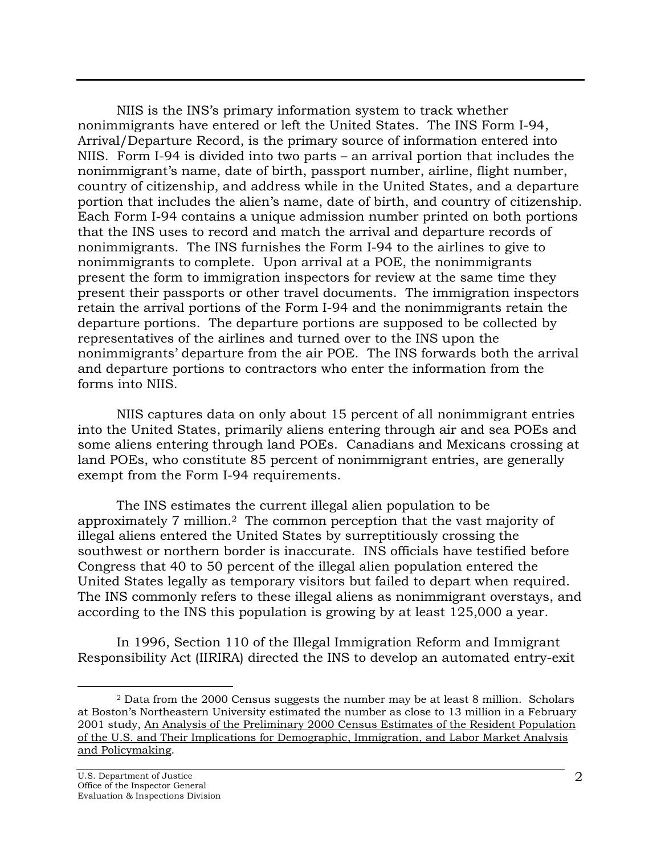NIIS is the INS's primary information system to track whether nonimmigrants have entered or left the United States. The INS Form I-94, Arrival/Departure Record, is the primary source of information entered into NIIS. Form I-94 is divided into two parts – an arrival portion that includes the nonimmigrant's name, date of birth, passport number, airline, flight number, country of citizenship, and address while in the United States, and a departure portion that includes the alien's name, date of birth, and country of citizenship. Each Form I-94 contains a unique admission number printed on both portions that the INS uses to record and match the arrival and departure records of nonimmigrants. The INS furnishes the Form I-94 to the airlines to give to nonimmigrants to complete. Upon arrival at a POE, the nonimmigrants present the form to immigration inspectors for review at the same time they present their passports or other travel documents. The immigration inspectors retain the arrival portions of the Form I-94 and the nonimmigrants retain the departure portions. The departure portions are supposed to be collected by representatives of the airlines and turned over to the INS upon the nonimmigrants' departure from the air POE. The INS forwards both the arrival and departure portions to contractors who enter the information from the forms into NIIS.

NIIS captures data on only about 15 percent of all nonimmigrant entries into the United States, primarily aliens entering through air and sea POEs and some aliens entering through land POEs. Canadians and Mexicans crossing at land POEs, who constitute 85 percent of nonimmigrant entries, are generally exempt from the Form I-94 requirements.

The INS estimates the current illegal alien population to be approximately 7 million.[2](#page-2-0) The common perception that the vast majority of illegal aliens entered the United States by surreptitiously crossing the southwest or northern border is inaccurate. INS officials have testified before Congress that 40 to 50 percent of the illegal alien population entered the United States legally as temporary visitors but failed to depart when required. The INS commonly refers to these illegal aliens as nonimmigrant overstays, and according to the INS this population is growing by at least 125,000 a year.

In 1996, Section 110 of the Illegal Immigration Reform and Immigrant Responsibility Act (IIRIRA) directed the INS to develop an automated entry-exit

<span id="page-2-0"></span> <sup>2</sup> Data from the 2000 Census suggests the number may be at least 8 million. Scholars at Boston's Northeastern University estimated the number as close to 13 million in a February 2001 study, An Analysis of the Preliminary 2000 Census Estimates of the Resident Population of the U.S. and Their Implications for Demographic, Immigration, and Labor Market Analysis and Policymaking.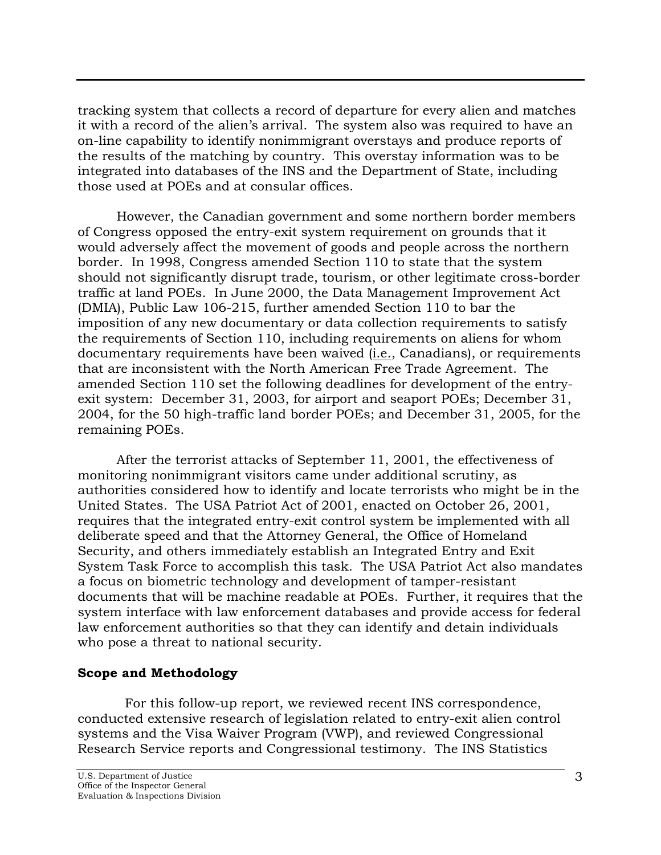<span id="page-3-0"></span>tracking system that collects a record of departure for every alien and matches it with a record of the alien's arrival. The system also was required to have an on-line capability to identify nonimmigrant overstays and produce reports of the results of the matching by country. This overstay information was to be integrated into databases of the INS and the Department of State, including those used at POEs and at consular offices.

However, the Canadian government and some northern border members of Congress opposed the entry-exit system requirement on grounds that it would adversely affect the movement of goods and people across the northern border. In 1998, Congress amended Section 110 to state that the system should not significantly disrupt trade, tourism, or other legitimate cross-border traffic at land POEs. In June 2000, the Data Management Improvement Act (DMIA), Public Law 106-215, further amended Section 110 to bar the imposition of any new documentary or data collection requirements to satisfy the requirements of Section 110, including requirements on aliens for whom documentary requirements have been waived (i.e., Canadians), or requirements that are inconsistent with the North American Free Trade Agreement. The amended Section 110 set the following deadlines for development of the entryexit system: December 31, 2003, for airport and seaport POEs; December 31, 2004, for the 50 high-traffic land border POEs; and December 31, 2005, for the remaining POEs.

After the terrorist attacks of September 11, 2001, the effectiveness of monitoring nonimmigrant visitors came under additional scrutiny, as authorities considered how to identify and locate terrorists who might be in the United States. The USA Patriot Act of 2001, enacted on October 26, 2001, requires that the integrated entry-exit control system be implemented with all deliberate speed and that the Attorney General, the Office of Homeland Security, and others immediately establish an Integrated Entry and Exit System Task Force to accomplish this task. The USA Patriot Act also mandates a focus on biometric technology and development of tamper-resistant documents that will be machine readable at POEs. Further, it requires that the system interface with law enforcement databases and provide access for federal law enforcement authorities so that they can identify and detain individuals who pose a threat to national security.

### **Scope and Methodology**

 For this follow-up report, we reviewed recent INS correspondence, conducted extensive research of legislation related to entry-exit alien control systems and the Visa Waiver Program (VWP), and reviewed Congressional Research Service reports and Congressional testimony. The INS Statistics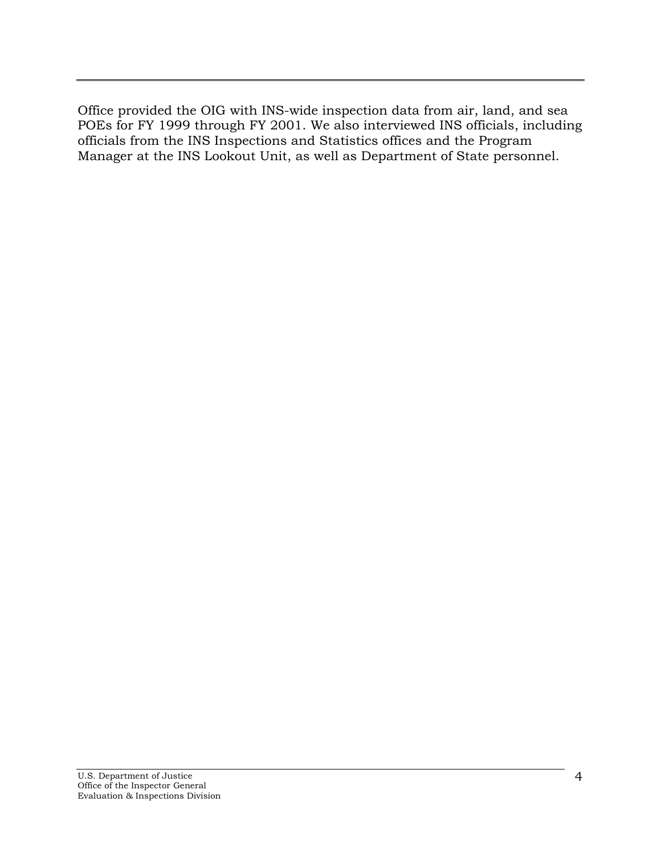Office provided the OIG with INS-wide inspection data from air, land, and sea POEs for FY 1999 through FY 2001. We also interviewed INS officials, including officials from the INS Inspections and Statistics offices and the Program Manager at the INS Lookout Unit, as well as Department of State personnel.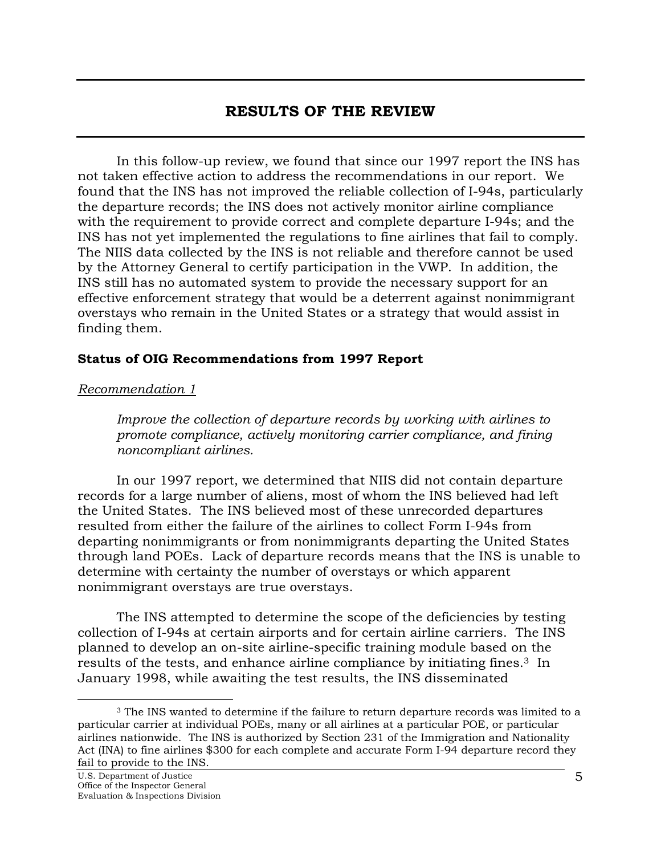## **RESULTS OF THE REVIEW**

<span id="page-5-0"></span>In this follow-up review, we found that since our 1997 report the INS has not taken effective action to address the recommendations in our report. We found that the INS has not improved the reliable collection of I-94s, particularly the departure records; the INS does not actively monitor airline compliance with the requirement to provide correct and complete departure I-94s; and the INS has not yet implemented the regulations to fine airlines that fail to comply. The NIIS data collected by the INS is not reliable and therefore cannot be used by the Attorney General to certify participation in the VWP. In addition, the INS still has no automated system to provide the necessary support for an effective enforcement strategy that would be a deterrent against nonimmigrant overstays who remain in the United States or a strategy that would assist in finding them.

#### **Status of OIG Recommendations from 1997 Report**

#### *Recommendation 1*

*Improve the collection of departure records by working with airlines to promote compliance, actively monitoring carrier compliance, and fining noncompliant airlines.* 

In our 1997 report, we determined that NIIS did not contain departure records for a large number of aliens, most of whom the INS believed had left the United States. The INS believed most of these unrecorded departures resulted from either the failure of the airlines to collect Form I-94s from departing nonimmigrants or from nonimmigrants departing the United States through land POEs. Lack of departure records means that the INS is unable to determine with certainty the number of overstays or which apparent nonimmigrant overstays are true overstays.

The INS attempted to determine the scope of the deficiencies by testing collection of I-94s at certain airports and for certain airline carriers. The INS planned to develop an on-site airline-specific training module based on the results of the tests, and enhance airline compliance by initiating fines.<sup>3</sup> In January 1998, while awaiting the test results, the INS disseminated

<span id="page-5-1"></span>-

<sup>&</sup>lt;sup>3</sup> The INS wanted to determine if the failure to return departure records was limited to a particular carrier at individual POEs, many or all airlines at a particular POE, or particular airlines nationwide. The INS is authorized by Section 231 of the Immigration and Nationality Act (INA) to fine airlines \$300 for each complete and accurate Form I-94 departure record they fail to provide to the INS.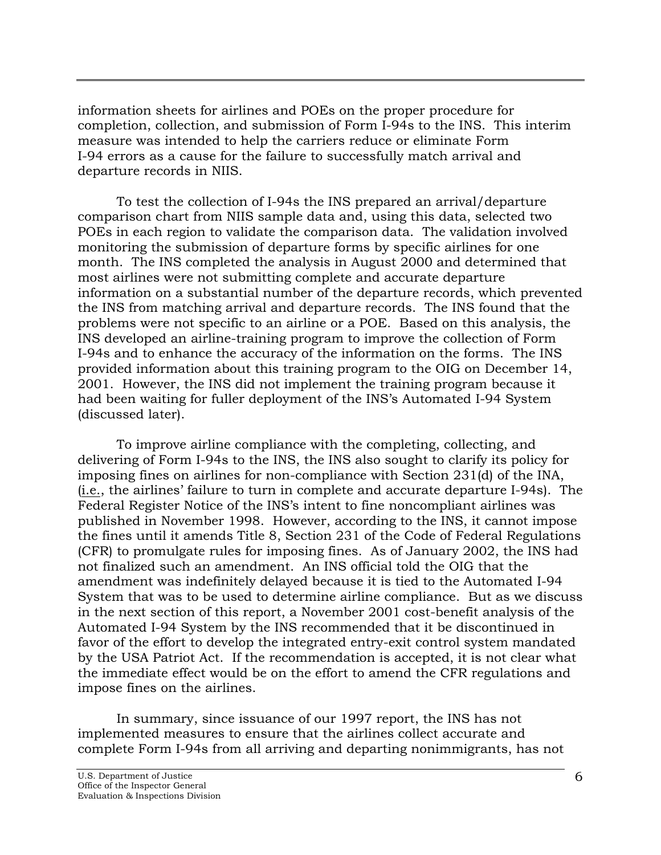information sheets for airlines and POEs on the proper procedure for completion, collection, and submission of Form I-94s to the INS. This interim measure was intended to help the carriers reduce or eliminate Form I-94 errors as a cause for the failure to successfully match arrival and departure records in NIIS.

To test the collection of I-94s the INS prepared an arrival/departure comparison chart from NIIS sample data and, using this data, selected two POEs in each region to validate the comparison data. The validation involved monitoring the submission of departure forms by specific airlines for one month. The INS completed the analysis in August 2000 and determined that most airlines were not submitting complete and accurate departure information on a substantial number of the departure records, which prevented the INS from matching arrival and departure records. The INS found that the problems were not specific to an airline or a POE. Based on this analysis, the INS developed an airline-training program to improve the collection of Form I-94s and to enhance the accuracy of the information on the forms. The INS provided information about this training program to the OIG on December 14, 2001. However, the INS did not implement the training program because it had been waiting for fuller deployment of the INS's Automated I-94 System (discussed later).

To improve airline compliance with the completing, collecting, and delivering of Form I-94s to the INS, the INS also sought to clarify its policy for imposing fines on airlines for non-compliance with Section 231(d) of the INA, (i.e., the airlines' failure to turn in complete and accurate departure I-94s). The Federal Register Notice of the INS's intent to fine noncompliant airlines was published in November 1998. However, according to the INS, it cannot impose the fines until it amends Title 8, Section 231 of the Code of Federal Regulations (CFR) to promulgate rules for imposing fines. As of January 2002, the INS had not finalized such an amendment. An INS official told the OIG that the amendment was indefinitely delayed because it is tied to the Automated I-94 System that was to be used to determine airline compliance. But as we discuss in the next section of this report, a November 2001 cost-benefit analysis of the Automated I-94 System by the INS recommended that it be discontinued in favor of the effort to develop the integrated entry-exit control system mandated by the USA Patriot Act. If the recommendation is accepted, it is not clear what the immediate effect would be on the effort to amend the CFR regulations and impose fines on the airlines.

In summary, since issuance of our 1997 report, the INS has not implemented measures to ensure that the airlines collect accurate and complete Form I-94s from all arriving and departing nonimmigrants, has not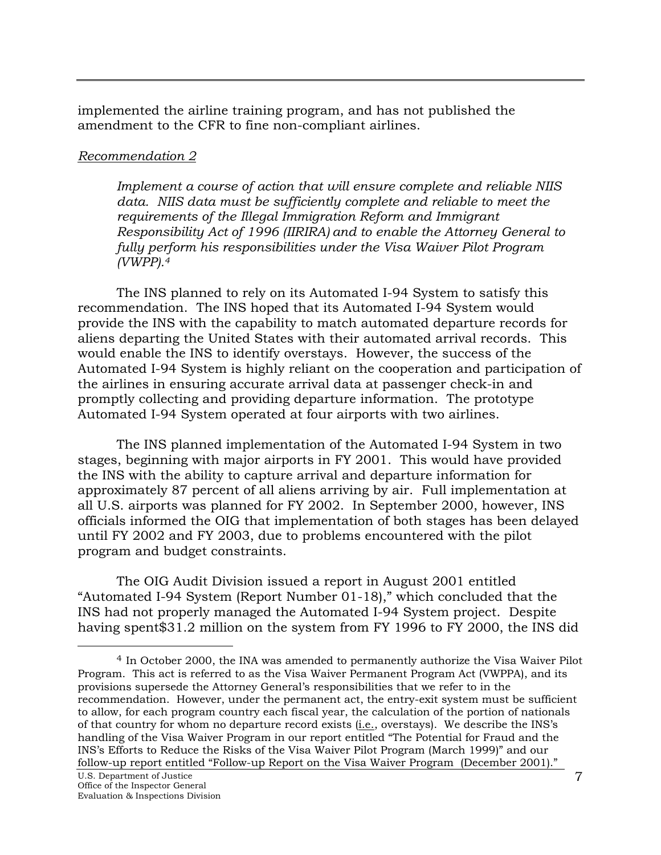<span id="page-7-0"></span>implemented the airline training program, and has not published the amendment to the CFR to fine non-compliant airlines.

#### *Recommendation 2*

*Implement a course of action that will ensure complete and reliable NIIS data. NIIS data must be sufficiently complete and reliable to meet the requirements of the Illegal Immigration Reform and Immigrant Responsibility Act of 1996 (IIRIRA) and to enable the Attorney General to fully perform his responsibilities under the Visa Waiver Pilot Program (VWPP)[.4](#page-7-1)* 

The INS planned to rely on its Automated I-94 System to satisfy this recommendation. The INS hoped that its Automated I-94 System would provide the INS with the capability to match automated departure records for aliens departing the United States with their automated arrival records. This would enable the INS to identify overstays. However, the success of the Automated I-94 System is highly reliant on the cooperation and participation of the airlines in ensuring accurate arrival data at passenger check-in and promptly collecting and providing departure information. The prototype Automated I-94 System operated at four airports with two airlines.

The INS planned implementation of the Automated I-94 System in two stages, beginning with major airports in FY 2001. This would have provided the INS with the ability to capture arrival and departure information for approximately 87 percent of all aliens arriving by air. Full implementation at all U.S. airports was planned for FY 2002. In September 2000, however, INS officials informed the OIG that implementation of both stages has been delayed until FY 2002 and FY 2003, due to problems encountered with the pilot program and budget constraints.

The OIG Audit Division issued a report in August 2001 entitled "Automated I-94 System (Report Number 01-18)," which concluded that the INS had not properly managed the Automated I-94 System project. Despite having spent\$31.2 million on the system from FY 1996 to FY 2000, the INS did

 $\overline{a}$ 

<span id="page-7-1"></span><sup>4</sup> In October 2000, the INA was amended to permanently authorize the Visa Waiver Pilot Program. This act is referred to as the Visa Waiver Permanent Program Act (VWPPA), and its provisions supersede the Attorney General's responsibilities that we refer to in the recommendation. However, under the permanent act, the entry-exit system must be sufficient to allow, for each program country each fiscal year, the calculation of the portion of nationals of that country for whom no departure record exists  $(i.e.,$  overstays). We describe the INS's handling of the Visa Waiver Program in our report entitled "The Potential for Fraud and the INS's Efforts to Reduce the Risks of the Visa Waiver Pilot Program (March 1999)" and our follow-up report entitled "Follow-up Report on the Visa Waiver Program (December 2001)."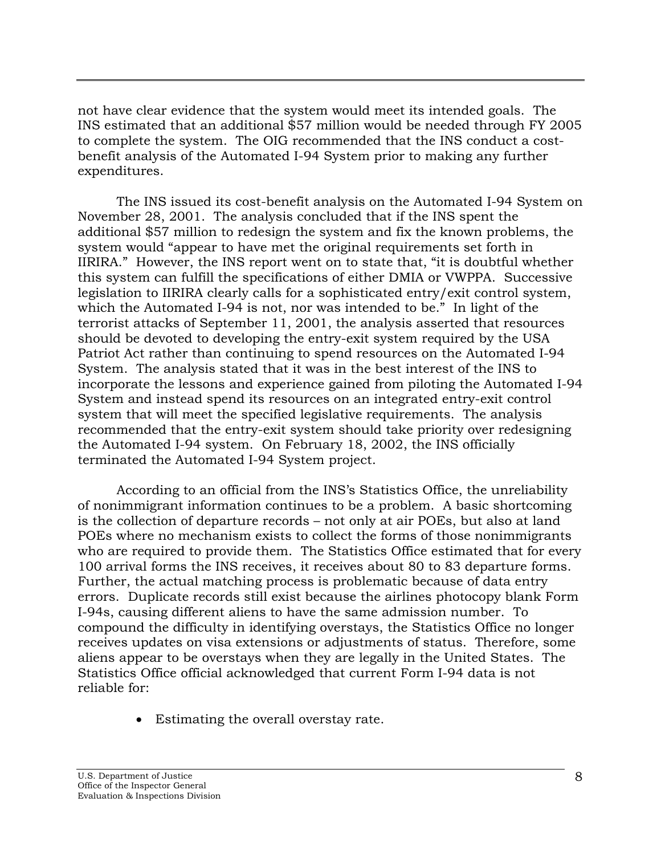not have clear evidence that the system would meet its intended goals. The INS estimated that an additional \$57 million would be needed through FY 2005 to complete the system. The OIG recommended that the INS conduct a costbenefit analysis of the Automated I-94 System prior to making any further expenditures.

The INS issued its cost-benefit analysis on the Automated I-94 System on November 28, 2001. The analysis concluded that if the INS spent the additional \$57 million to redesign the system and fix the known problems, the system would "appear to have met the original requirements set forth in IIRIRA." However, the INS report went on to state that, "it is doubtful whether this system can fulfill the specifications of either DMIA or VWPPA. Successive legislation to IIRIRA clearly calls for a sophisticated entry/exit control system, which the Automated I-94 is not, nor was intended to be." In light of the terrorist attacks of September 11, 2001, the analysis asserted that resources should be devoted to developing the entry-exit system required by the USA Patriot Act rather than continuing to spend resources on the Automated I-94 System. The analysis stated that it was in the best interest of the INS to incorporate the lessons and experience gained from piloting the Automated I-94 System and instead spend its resources on an integrated entry-exit control system that will meet the specified legislative requirements. The analysis recommended that the entry-exit system should take priority over redesigning the Automated I-94 system. On February 18, 2002, the INS officially terminated the Automated I-94 System project.

According to an official from the INS's Statistics Office, the unreliability of nonimmigrant information continues to be a problem. A basic shortcoming is the collection of departure records – not only at air POEs, but also at land POEs where no mechanism exists to collect the forms of those nonimmigrants who are required to provide them. The Statistics Office estimated that for every 100 arrival forms the INS receives, it receives about 80 to 83 departure forms. Further, the actual matching process is problematic because of data entry errors. Duplicate records still exist because the airlines photocopy blank Form I-94s, causing different aliens to have the same admission number. To compound the difficulty in identifying overstays, the Statistics Office no longer receives updates on visa extensions or adjustments of status. Therefore, some aliens appear to be overstays when they are legally in the United States. The Statistics Office official acknowledged that current Form I-94 data is not reliable for:

• Estimating the overall overstay rate.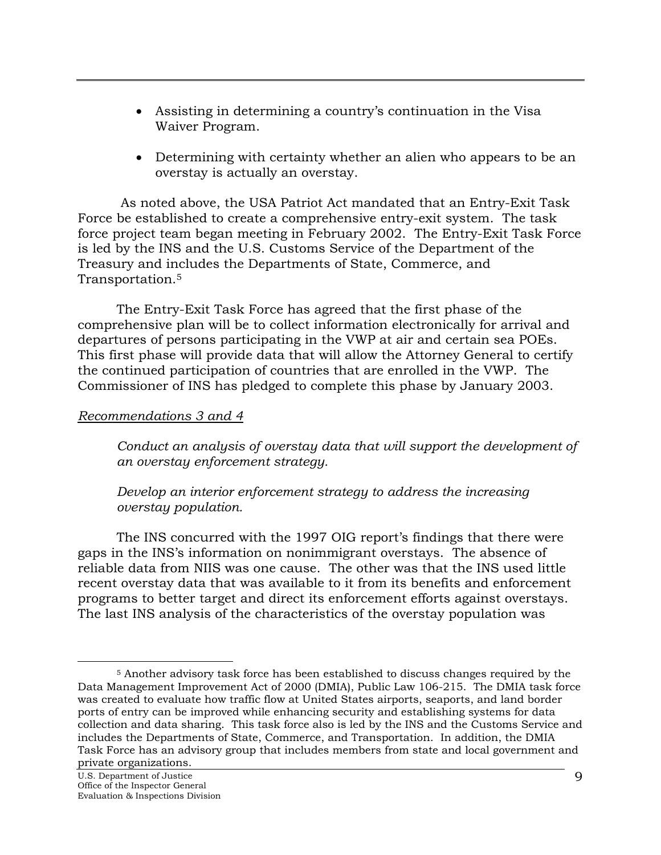- <span id="page-9-0"></span>• Assisting in determining a country's continuation in the Visa Waiver Program.
- Determining with certainty whether an alien who appears to be an overstay is actually an overstay.

 As noted above, the USA Patriot Act mandated that an Entry-Exit Task Force be established to create a comprehensive entry-exit system. The task force project team began meeting in February 2002. The Entry-Exit Task Force is led by the INS and the U.S. Customs Service of the Department of the Treasury and includes the Departments of State, Commerce, and Transportation.[5](#page-9-1) 

The Entry-Exit Task Force has agreed that the first phase of the comprehensive plan will be to collect information electronically for arrival and departures of persons participating in the VWP at air and certain sea POEs. This first phase will provide data that will allow the Attorney General to certify the continued participation of countries that are enrolled in the VWP. The Commissioner of INS has pledged to complete this phase by January 2003.

#### *Recommendations 3 and 4*

*Conduct an analysis of overstay data that will support the development of an overstay enforcement strategy.* 

#### *Develop an interior enforcement strategy to address the increasing overstay population.*

The INS concurred with the 1997 OIG report's findings that there were gaps in the INS's information on nonimmigrant overstays. The absence of reliable data from NIIS was one cause. The other was that the INS used little recent overstay data that was available to it from its benefits and enforcement programs to better target and direct its enforcement efforts against overstays. The last INS analysis of the characteristics of the overstay population was

<span id="page-9-1"></span> $\overline{a}$ 

<sup>5</sup> Another advisory task force has been established to discuss changes required by the Data Management Improvement Act of 2000 (DMIA), Public Law 106-215. The DMIA task force was created to evaluate how traffic flow at United States airports, seaports, and land border ports of entry can be improved while enhancing security and establishing systems for data collection and data sharing. This task force also is led by the INS and the Customs Service and includes the Departments of State, Commerce, and Transportation. In addition, the DMIA Task Force has an advisory group that includes members from state and local government and private organizations.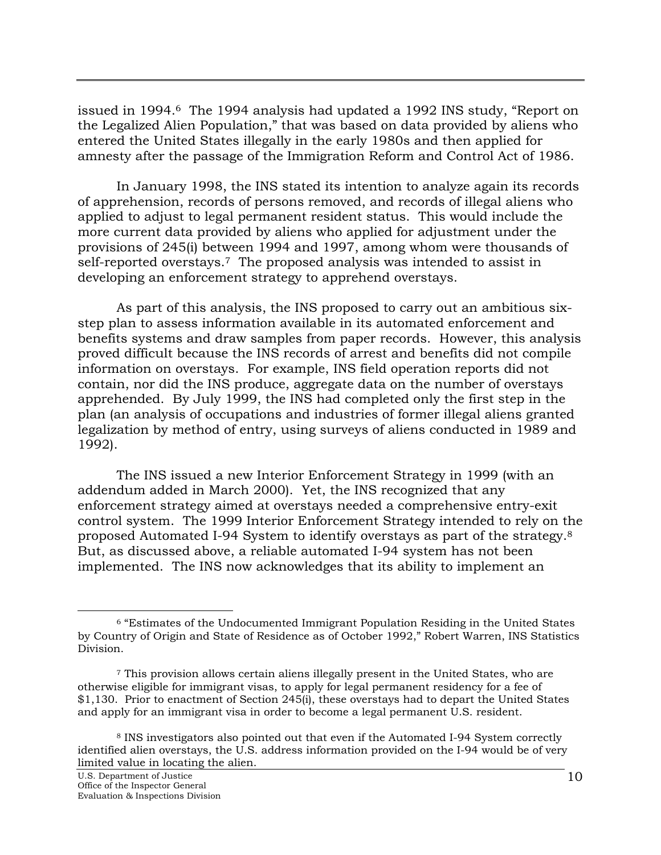issued in 1994.[6](#page-10-0) The 1994 analysis had updated a 1992 INS study, "Report on the Legalized Alien Population," that was based on data provided by aliens who entered the United States illegally in the early 1980s and then applied for amnesty after the passage of the Immigration Reform and Control Act of 1986.

In January 1998, the INS stated its intention to analyze again its records of apprehension, records of persons removed, and records of illegal aliens who applied to adjust to legal permanent resident status. This would include the more current data provided by aliens who applied for adjustment under the provisions of 245(i) between 1994 and 1997, among whom were thousands of self-reported overstays.[7](#page-10-1) The proposed analysis was intended to assist in developing an enforcement strategy to apprehend overstays.

As part of this analysis, the INS proposed to carry out an ambitious sixstep plan to assess information available in its automated enforcement and benefits systems and draw samples from paper records. However, this analysis proved difficult because the INS records of arrest and benefits did not compile information on overstays. For example, INS field operation reports did not contain, nor did the INS produce, aggregate data on the number of overstays apprehended. By July 1999, the INS had completed only the first step in the plan (an analysis of occupations and industries of former illegal aliens granted legalization by method of entry, using surveys of aliens conducted in 1989 and 1992).

The INS issued a new Interior Enforcement Strategy in 1999 (with an addendum added in March 2000). Yet, the INS recognized that any enforcement strategy aimed at overstays needed a comprehensive entry-exit control system. The 1999 Interior Enforcement Strategy intended to rely on the proposed Automated I-94 System to identify overstays as part of the strategy.[8](#page-10-2)  But, as discussed above, a reliable automated I-94 system has not been implemented. The INS now acknowledges that its ability to implement an

<span id="page-10-0"></span> <sup>6 &</sup>quot;Estimates of the Undocumented Immigrant Population Residing in the United States by Country of Origin and State of Residence as of October 1992," Robert Warren, INS Statistics Division.

<span id="page-10-1"></span><sup>7</sup> This provision allows certain aliens illegally present in the United States, who are otherwise eligible for immigrant visas, to apply for legal permanent residency for a fee of \$1,130. Prior to enactment of Section 245(i), these overstays had to depart the United States and apply for an immigrant visa in order to become a legal permanent U.S. resident.

<span id="page-10-2"></span><sup>8</sup> INS investigators also pointed out that even if the Automated I-94 System correctly identified alien overstays, the U.S. address information provided on the I-94 would be of very limited value in locating the alien.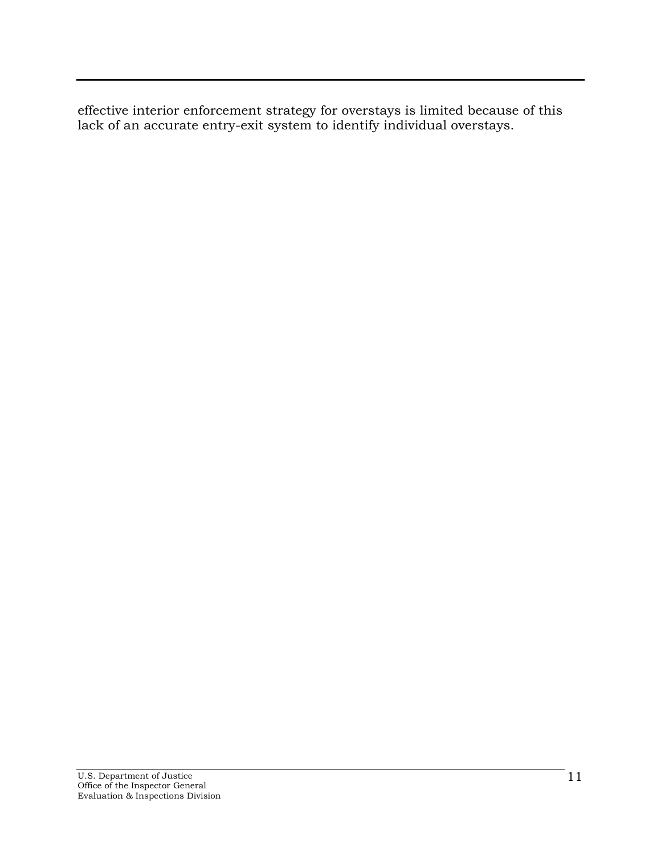effective interior enforcement strategy for overstays is limited because of this lack of an accurate entry-exit system to identify individual overstays.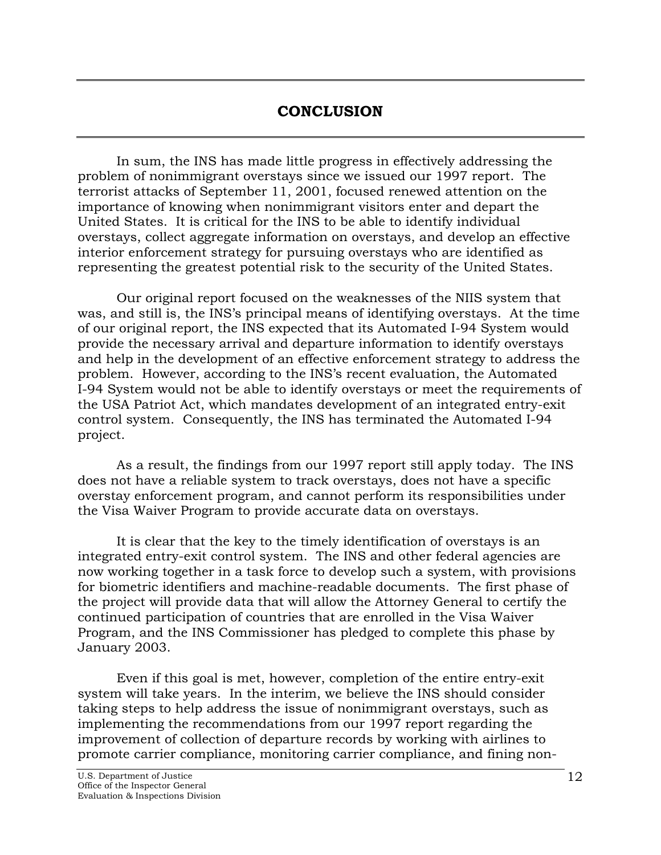## **CONCLUSION**

<span id="page-12-0"></span>In sum, the INS has made little progress in effectively addressing the problem of nonimmigrant overstays since we issued our 1997 report. The terrorist attacks of September 11, 2001, focused renewed attention on the importance of knowing when nonimmigrant visitors enter and depart the United States. It is critical for the INS to be able to identify individual overstays, collect aggregate information on overstays, and develop an effective interior enforcement strategy for pursuing overstays who are identified as representing the greatest potential risk to the security of the United States.

Our original report focused on the weaknesses of the NIIS system that was, and still is, the INS's principal means of identifying overstays. At the time of our original report, the INS expected that its Automated I-94 System would provide the necessary arrival and departure information to identify overstays and help in the development of an effective enforcement strategy to address the problem. However, according to the INS's recent evaluation, the Automated I-94 System would not be able to identify overstays or meet the requirements of the USA Patriot Act, which mandates development of an integrated entry-exit control system. Consequently, the INS has terminated the Automated I-94 project.

As a result, the findings from our 1997 report still apply today. The INS does not have a reliable system to track overstays, does not have a specific overstay enforcement program, and cannot perform its responsibilities under the Visa Waiver Program to provide accurate data on overstays.

It is clear that the key to the timely identification of overstays is an integrated entry-exit control system. The INS and other federal agencies are now working together in a task force to develop such a system, with provisions for biometric identifiers and machine-readable documents. The first phase of the project will provide data that will allow the Attorney General to certify the continued participation of countries that are enrolled in the Visa Waiver Program, and the INS Commissioner has pledged to complete this phase by January 2003.

Even if this goal is met, however, completion of the entire entry-exit system will take years. In the interim, we believe the INS should consider taking steps to help address the issue of nonimmigrant overstays, such as implementing the recommendations from our 1997 report regarding the improvement of collection of departure records by working with airlines to promote carrier compliance, monitoring carrier compliance, and fining non